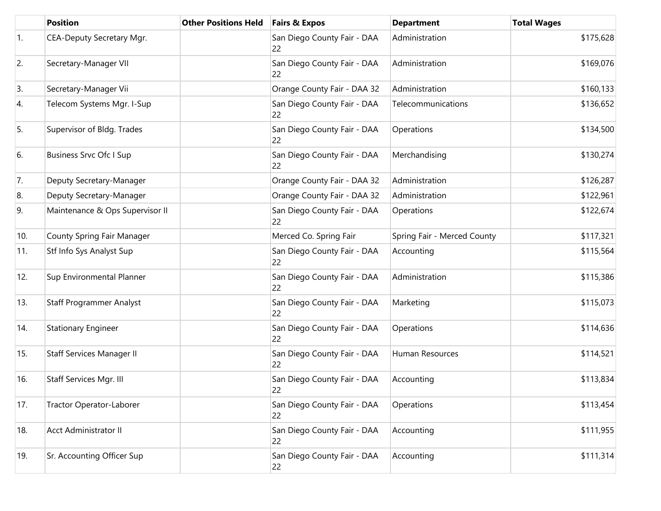|     | <b>Position</b>                 | <b>Other Positions Held</b> | <b>Fairs &amp; Expos</b>          | <b>Department</b>           | <b>Total Wages</b> |
|-----|---------------------------------|-----------------------------|-----------------------------------|-----------------------------|--------------------|
| 1.  | CEA-Deputy Secretary Mgr.       |                             | San Diego County Fair - DAA<br>22 | Administration              | \$175,628          |
| 2.  | Secretary-Manager VII           |                             | San Diego County Fair - DAA<br>22 | Administration              | \$169,076          |
| 3.  | Secretary-Manager Vii           |                             | Orange County Fair - DAA 32       | Administration              | \$160,133          |
| 4.  | Telecom Systems Mgr. I-Sup      |                             | San Diego County Fair - DAA<br>22 | Telecommunications          | \$136,652          |
| 5.  | Supervisor of Bldg. Trades      |                             | San Diego County Fair - DAA<br>22 | Operations                  | \$134,500          |
| 6.  | <b>Business Srvc Ofc I Sup</b>  |                             | San Diego County Fair - DAA<br>22 | Merchandising               | \$130,274          |
| 7.  | Deputy Secretary-Manager        |                             | Orange County Fair - DAA 32       | Administration              | \$126,287          |
| 8.  | Deputy Secretary-Manager        |                             | Orange County Fair - DAA 32       | Administration              | \$122,961          |
| 9.  | Maintenance & Ops Supervisor II |                             | San Diego County Fair - DAA<br>22 | Operations                  | \$122,674          |
| 10. | County Spring Fair Manager      |                             | Merced Co. Spring Fair            | Spring Fair - Merced County | \$117,321          |
| 11. | Stf Info Sys Analyst Sup        |                             | San Diego County Fair - DAA<br>22 | Accounting                  | \$115,564          |
| 12. | Sup Environmental Planner       |                             | San Diego County Fair - DAA<br>22 | Administration              | \$115,386          |
| 13. | <b>Staff Programmer Analyst</b> |                             | San Diego County Fair - DAA<br>22 | Marketing                   | \$115,073          |
| 14. | <b>Stationary Engineer</b>      |                             | San Diego County Fair - DAA<br>22 | Operations                  | \$114,636          |
| 15. | Staff Services Manager II       |                             | San Diego County Fair - DAA<br>22 | Human Resources             | \$114,521          |
| 16. | Staff Services Mgr. III         |                             | San Diego County Fair - DAA<br>22 | Accounting                  | \$113,834          |
| 17. | Tractor Operator-Laborer        |                             | San Diego County Fair - DAA<br>22 | Operations                  | \$113,454          |
| 18. | Acct Administrator II           |                             | San Diego County Fair - DAA<br>22 | Accounting                  | \$111,955          |
| 19. | Sr. Accounting Officer Sup      |                             | San Diego County Fair - DAA<br>22 | Accounting                  | \$111,314          |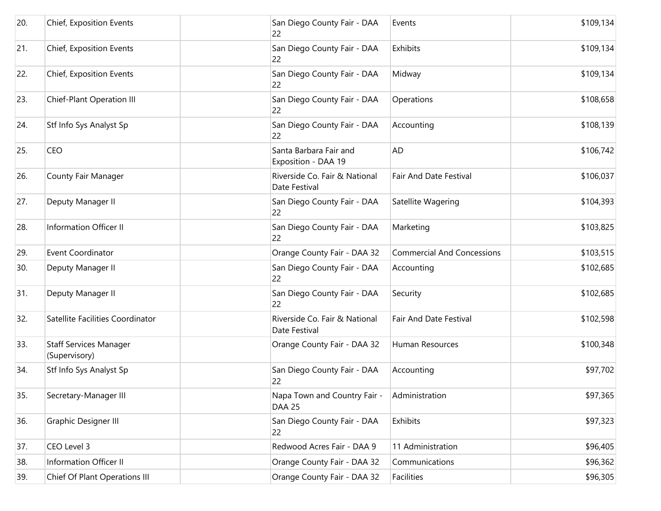| 20. | Chief, Exposition Events                       | San Diego County Fair - DAA<br>22              | Events                            | \$109,134 |
|-----|------------------------------------------------|------------------------------------------------|-----------------------------------|-----------|
| 21. | Chief, Exposition Events                       | San Diego County Fair - DAA<br>22              | Exhibits                          | \$109,134 |
| 22. | Chief, Exposition Events                       | San Diego County Fair - DAA<br>22              | Midway                            | \$109,134 |
| 23. | Chief-Plant Operation III                      | San Diego County Fair - DAA<br>22              | Operations                        | \$108,658 |
| 24. | Stf Info Sys Analyst Sp                        | San Diego County Fair - DAA<br>22              | Accounting                        | \$108,139 |
| 25. | <b>CEO</b>                                     | Santa Barbara Fair and<br>Exposition - DAA 19  | <b>AD</b>                         | \$106,742 |
| 26. | County Fair Manager                            | Riverside Co. Fair & National<br>Date Festival | Fair And Date Festival            | \$106,037 |
| 27. | Deputy Manager II                              | San Diego County Fair - DAA<br>22              | Satellite Wagering                | \$104,393 |
| 28. | <b>Information Officer II</b>                  | San Diego County Fair - DAA<br>22              | Marketing                         | \$103,825 |
| 29. | Event Coordinator                              | Orange County Fair - DAA 32                    | <b>Commercial And Concessions</b> | \$103,515 |
| 30. | Deputy Manager II                              | San Diego County Fair - DAA<br>22              | Accounting                        | \$102,685 |
| 31. | Deputy Manager II                              | San Diego County Fair - DAA<br>22              | Security                          | \$102,685 |
| 32. | Satellite Facilities Coordinator               | Riverside Co. Fair & National<br>Date Festival | Fair And Date Festival            | \$102,598 |
| 33. | <b>Staff Services Manager</b><br>(Supervisory) | Orange County Fair - DAA 32                    | Human Resources                   | \$100,348 |
| 34. | Stf Info Sys Analyst Sp                        | San Diego County Fair - DAA<br>22              | Accounting                        | \$97,702  |
| 35. | Secretary-Manager III                          | Napa Town and Country Fair -<br><b>DAA 25</b>  | Administration                    | \$97,365  |
| 36. | Graphic Designer III                           | San Diego County Fair - DAA<br>22              | Exhibits                          | \$97,323  |
| 37. | CEO Level 3                                    | Redwood Acres Fair - DAA 9                     | 11 Administration                 | \$96,405  |
| 38. | Information Officer II                         | Orange County Fair - DAA 32                    | Communications                    | \$96,362  |
| 39. | Chief Of Plant Operations III                  | Orange County Fair - DAA 32                    | Facilities                        | \$96,305  |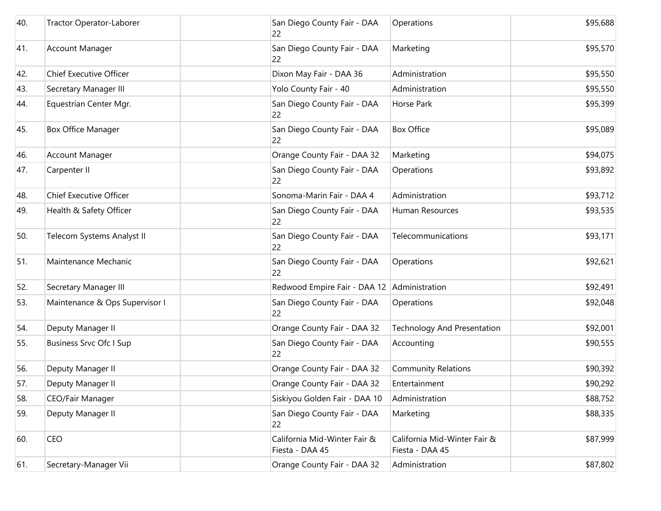| 40. | Tractor Operator-Laborer       | San Diego County Fair - DAA<br>22               | Operations                                      | \$95,688 |
|-----|--------------------------------|-------------------------------------------------|-------------------------------------------------|----------|
| 41. | <b>Account Manager</b>         | San Diego County Fair - DAA<br>22               | Marketing                                       | \$95,570 |
| 42. | <b>Chief Executive Officer</b> | Dixon May Fair - DAA 36                         | Administration                                  | \$95,550 |
| 43. | Secretary Manager III          | Yolo County Fair - 40                           | Administration                                  | \$95,550 |
| 44. | Equestrian Center Mgr.         | San Diego County Fair - DAA<br>22               | Horse Park                                      | \$95,399 |
| 45. | <b>Box Office Manager</b>      | San Diego County Fair - DAA<br>22               | <b>Box Office</b>                               | \$95,089 |
| 46. | <b>Account Manager</b>         | Orange County Fair - DAA 32                     | Marketing                                       | \$94,075 |
| 47. | Carpenter II                   | San Diego County Fair - DAA<br>22               | Operations                                      | \$93,892 |
| 48. | <b>Chief Executive Officer</b> | Sonoma-Marin Fair - DAA 4                       | Administration                                  | \$93,712 |
| 49. | Health & Safety Officer        | San Diego County Fair - DAA<br>22               | Human Resources                                 | \$93,535 |
| 50. | Telecom Systems Analyst II     | San Diego County Fair - DAA<br>22               | Telecommunications                              | \$93,171 |
| 51. | Maintenance Mechanic           | San Diego County Fair - DAA<br>22               | Operations                                      | \$92,621 |
| 52. | Secretary Manager III          | Redwood Empire Fair - DAA 12                    | Administration                                  | \$92,491 |
| 53. | Maintenance & Ops Supervisor I | San Diego County Fair - DAA<br>22               | Operations                                      | \$92,048 |
| 54. | Deputy Manager II              | Orange County Fair - DAA 32                     | <b>Technology And Presentation</b>              | \$92,001 |
| 55. | <b>Business Srvc Ofc I Sup</b> | San Diego County Fair - DAA<br>22               | Accounting                                      | \$90,555 |
| 56. | Deputy Manager II              | Orange County Fair - DAA 32                     | <b>Community Relations</b>                      | \$90,392 |
| 57. | Deputy Manager II              | Orange County Fair - DAA 32                     | Entertainment                                   | \$90,292 |
| 58. | CEO/Fair Manager               | Siskiyou Golden Fair - DAA 10                   | Administration                                  | \$88,752 |
| 59. | Deputy Manager II              | San Diego County Fair - DAA<br>22               | Marketing                                       | \$88,335 |
| 60. | <b>CEO</b>                     | California Mid-Winter Fair &<br>Fiesta - DAA 45 | California Mid-Winter Fair &<br>Fiesta - DAA 45 | \$87,999 |
| 61. | Secretary-Manager Vii          | Orange County Fair - DAA 32                     | Administration                                  | \$87,802 |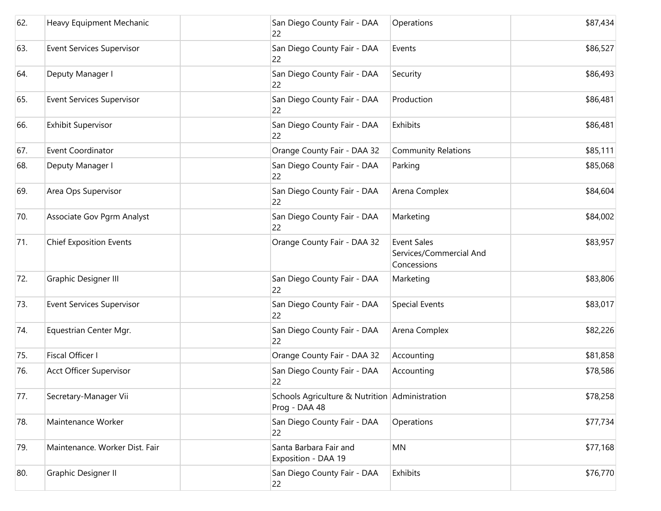| 62. | Heavy Equipment Mechanic         | San Diego County Fair - DAA<br>22                               | Operations                                                   | \$87,434 |
|-----|----------------------------------|-----------------------------------------------------------------|--------------------------------------------------------------|----------|
| 63. | <b>Event Services Supervisor</b> | San Diego County Fair - DAA<br>22                               | Events                                                       | \$86,527 |
| 64. | Deputy Manager I                 | San Diego County Fair - DAA<br>22                               | Security                                                     | \$86,493 |
| 65. | <b>Event Services Supervisor</b> | San Diego County Fair - DAA<br>22                               | Production                                                   | \$86,481 |
| 66. | <b>Exhibit Supervisor</b>        | San Diego County Fair - DAA<br>22                               | Exhibits                                                     | \$86,481 |
| 67. | Event Coordinator                | Orange County Fair - DAA 32                                     | <b>Community Relations</b>                                   | \$85,111 |
| 68. | Deputy Manager I                 | San Diego County Fair - DAA<br>22                               | Parking                                                      | \$85,068 |
| 69. | Area Ops Supervisor              | San Diego County Fair - DAA<br>22                               | Arena Complex                                                | \$84,604 |
| 70. | Associate Gov Pgrm Analyst       | San Diego County Fair - DAA<br>22                               | Marketing                                                    | \$84,002 |
| 71. | <b>Chief Exposition Events</b>   | Orange County Fair - DAA 32                                     | <b>Event Sales</b><br>Services/Commercial And<br>Concessions | \$83,957 |
| 72. | Graphic Designer III             | San Diego County Fair - DAA<br>22                               | Marketing                                                    | \$83,806 |
| 73. | <b>Event Services Supervisor</b> | San Diego County Fair - DAA<br>22                               | <b>Special Events</b>                                        | \$83,017 |
| 74. | Equestrian Center Mgr.           | San Diego County Fair - DAA<br>22                               | Arena Complex                                                | \$82,226 |
| 75. | Fiscal Officer I                 | Orange County Fair - DAA 32                                     | Accounting                                                   | \$81,858 |
| 76. | <b>Acct Officer Supervisor</b>   | San Diego County Fair - DAA<br>22                               | Accounting                                                   | \$78,586 |
| 77. | Secretary-Manager Vii            | Schools Agriculture & Nutrition Administration<br>Prog - DAA 48 |                                                              | \$78,258 |
| 78. | Maintenance Worker               | San Diego County Fair - DAA<br>22                               | Operations                                                   | \$77,734 |
| 79. | Maintenance. Worker Dist. Fair   | Santa Barbara Fair and<br>Exposition - DAA 19                   | MN                                                           | \$77,168 |
| 80. | <b>Graphic Designer II</b>       | San Diego County Fair - DAA<br>22                               | Exhibits                                                     | \$76,770 |